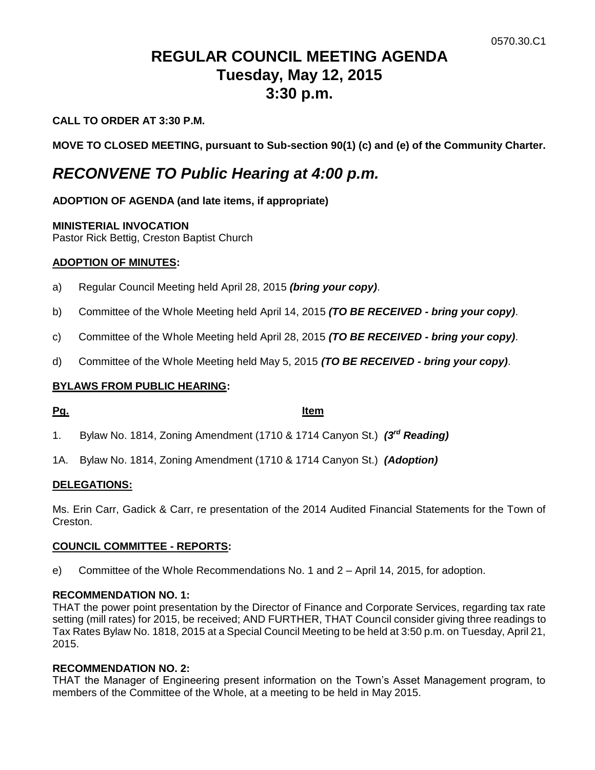# **REGULAR COUNCIL MEETING AGENDA Tuesday, May 12, 2015 3:30 p.m.**

# **CALL TO ORDER AT 3:30 P.M.**

**MOVE TO CLOSED MEETING, pursuant to Sub-section 90(1) (c) and (e) of the Community Charter.**

# *RECONVENE TO Public Hearing at 4:00 p.m.*

# **ADOPTION OF AGENDA (and late items, if appropriate)**

## **MINISTERIAL INVOCATION**

Pastor Rick Bettig, Creston Baptist Church

## **ADOPTION OF MINUTES:**

- a) Regular Council Meeting held April 28, 2015 *(bring your copy)*.
- b) Committee of the Whole Meeting held April 14, 2015 *(TO BE RECEIVED - bring your copy)*.
- c) Committee of the Whole Meeting held April 28, 2015 *(TO BE RECEIVED - bring your copy)*.
- d) Committee of the Whole Meeting held May 5, 2015 *(TO BE RECEIVED - bring your copy)*.

# **BYLAWS FROM PUBLIC HEARING:**

**Pg. Item**

- 1. Bylaw No. 1814, Zoning Amendment (1710 & 1714 Canyon St.) *(3rd Reading)*
- 1A. Bylaw No. 1814, Zoning Amendment (1710 & 1714 Canyon St.) *(Adoption)*

## **DELEGATIONS:**

Ms. Erin Carr, Gadick & Carr, re presentation of the 2014 Audited Financial Statements for the Town of Creston.

## **COUNCIL COMMITTEE - REPORTS:**

e) Committee of the Whole Recommendations No. 1 and 2 – April 14, 2015, for adoption.

# **RECOMMENDATION NO. 1:**

THAT the power point presentation by the Director of Finance and Corporate Services, regarding tax rate setting (mill rates) for 2015, be received; AND FURTHER, THAT Council consider giving three readings to Tax Rates Bylaw No. 1818, 2015 at a Special Council Meeting to be held at 3:50 p.m. on Tuesday, April 21, 2015.

# **RECOMMENDATION NO. 2:**

THAT the Manager of Engineering present information on the Town's Asset Management program, to members of the Committee of the Whole, at a meeting to be held in May 2015.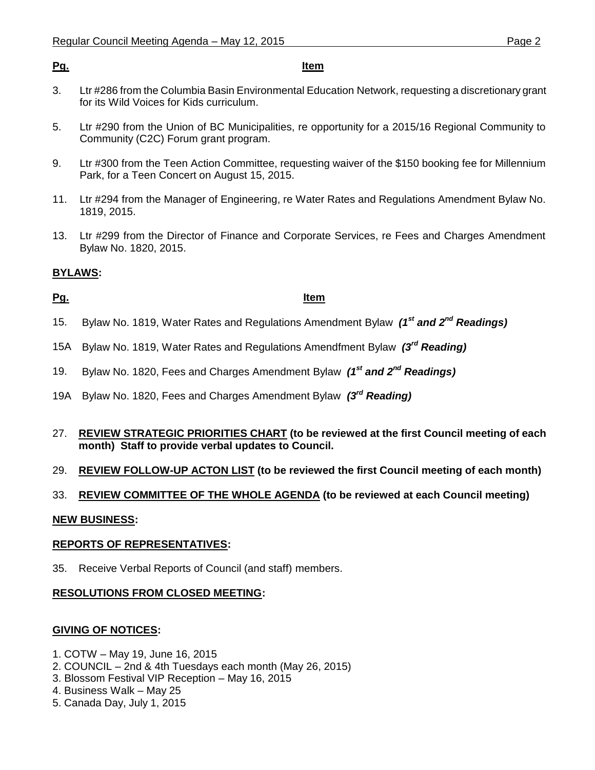#### **Pg. Item**

- 3. Ltr #286 from the Columbia Basin Environmental Education Network, requesting a discretionary grant for its Wild Voices for Kids curriculum.
- 5. Ltr #290 from the Union of BC Municipalities, re opportunity for a 2015/16 Regional Community to Community (C2C) Forum grant program.
- 9. Ltr #300 from the Teen Action Committee, requesting waiver of the \$150 booking fee for Millennium Park, for a Teen Concert on August 15, 2015.
- 11. Ltr #294 from the Manager of Engineering, re Water Rates and Regulations Amendment Bylaw No. 1819, 2015.
- 13. Ltr #299 from the Director of Finance and Corporate Services, re Fees and Charges Amendment Bylaw No. 1820, 2015.

# **BYLAWS:**

# **Pg. Item**

- 15. Bylaw No. 1819, Water Rates and Regulations Amendment Bylaw *(1st and 2nd Readings)*
- 15A Bylaw No. 1819, Water Rates and Regulations Amendfment Bylaw *(3rd Reading)*
- 19. Bylaw No. 1820, Fees and Charges Amendment Bylaw *(1 st and 2nd Readings)*
- 19A Bylaw No. 1820, Fees and Charges Amendment Bylaw *(3 rd Reading)*
- 27. **REVIEW STRATEGIC PRIORITIES CHART (to be reviewed at the first Council meeting of each month) Staff to provide verbal updates to Council.**
- 29. **REVIEW FOLLOW-UP ACTON LIST (to be reviewed the first Council meeting of each month)**
- 33. **REVIEW COMMITTEE OF THE WHOLE AGENDA (to be reviewed at each Council meeting)**

## **NEW BUSINESS:**

## **REPORTS OF REPRESENTATIVES:**

35. Receive Verbal Reports of Council (and staff) members.

# **RESOLUTIONS FROM CLOSED MEETING:**

## **GIVING OF NOTICES:**

- 1. COTW May 19, June 16, 2015
- 2. COUNCIL 2nd & 4th Tuesdays each month (May 26, 2015)
- 3. Blossom Festival VIP Reception May 16, 2015
- 4. Business Walk May 25
- 5. Canada Day, July 1, 2015